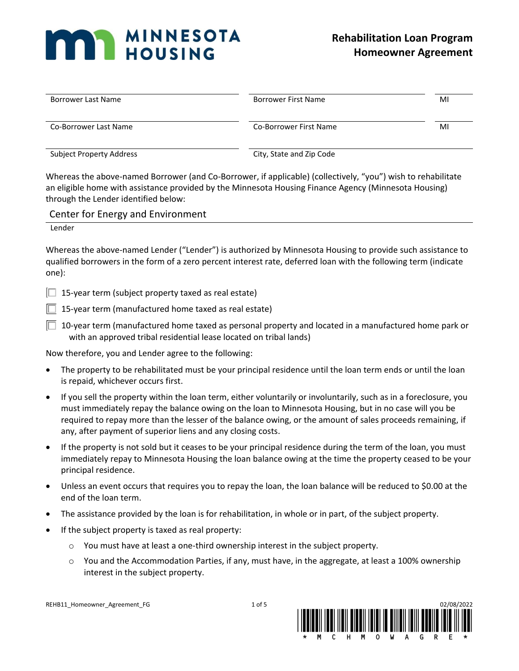# **MAN MINNESOTA**

| <b>Borrower Last Name</b>       | Borrower First Name      | MI |
|---------------------------------|--------------------------|----|
| Co-Borrower Last Name           | Co-Borrower First Name   | MI |
| <b>Subject Property Address</b> | City, State and Zip Code |    |

Whereas the above-named Borrower (and Co-Borrower, if applicable) (collectively, "you") wish to rehabilitate an eligible home with assistance provided by the Minnesota Housing Finance Agency (Minnesota Housing) through the Lender identified below:

## Center for Energy and Environment

Lender

Whereas the above-named Lender ("Lender") is authorized by Minnesota Housing to provide such assistance to qualified borrowers in the form of a zero percent interest rate, deferred loan with the following term (indicate one):

 $\Box$  15-year term (subject property taxed as real estate)

 $\Box$  15-year term (manufactured home taxed as real estate)

 $\Box$  10-year term (manufactured home taxed as personal property and located in a manufactured home park or with an approved tribal residential lease located on tribal lands)

Now therefore, you and Lender agree to the following:

- The property to be rehabilitated must be your principal residence until the loan term ends or until the loan is repaid, whichever occurs first.
- If you sell the property within the loan term, either voluntarily or involuntarily, such as in a foreclosure, you must immediately repay the balance owing on the loan to Minnesota Housing, but in no case will you be required to repay more than the lesser of the balance owing, or the amount of sales proceeds remaining, if any, after payment of superior liens and any closing costs.
- If the property is not sold but it ceases to be your principal residence during the term of the loan, you must immediately repay to Minnesota Housing the loan balance owing at the time the property ceased to be your principal residence.
- Unless an event occurs that requires you to repay the loan, the loan balance will be reduced to \$0.00 at the end of the loan term.
- The assistance provided by the loan is for rehabilitation, in whole or in part, of the subject property.
- If the subject property is taxed as real property:
	- o You must have at least a one-third ownership interest in the subject property.
	- o You and the Accommodation Parties, if any, must have, in the aggregate, at least a 100% ownership interest in the subject property.

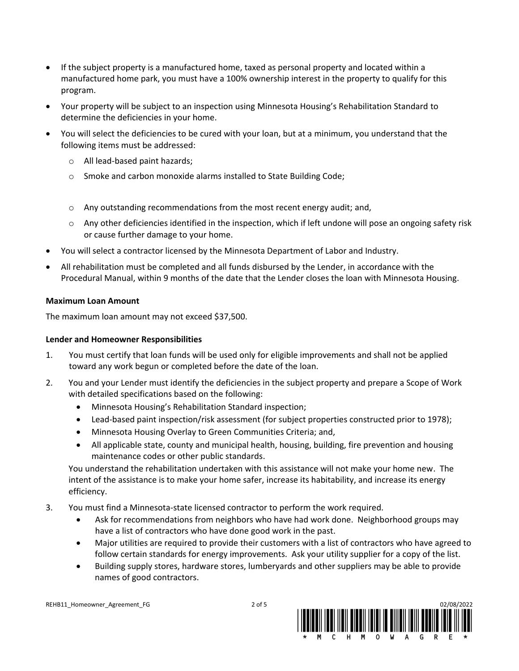- If the subject property is a manufactured home, taxed as personal property and located within a manufactured home park, you must have a 100% ownership interest in the property to qualify for this program.
- Your property will be subject to an inspection using Minnesota Housing's Rehabilitation Standard to determine the deficiencies in your home.
- You will select the deficiencies to be cured with your loan, but at a minimum, you understand that the following items must be addressed:
	- o All lead-based paint hazards;
	- o Smoke and carbon monoxide alarms installed to State Building Code;
	- $\circ$  Any outstanding recommendations from the most recent energy audit; and,
	- $\circ$  Any other deficiencies identified in the inspection, which if left undone will pose an ongoing safety risk or cause further damage to your home.
- You will select a contractor licensed by the Minnesota Department of Labor and Industry.
- All rehabilitation must be completed and all funds disbursed by the Lender, in accordance with the Procedural Manual, within 9 months of the date that the Lender closes the loan with Minnesota Housing.

### **Maximum Loan Amount**

The maximum loan amount may not exceed \$37,500.

### **Lender and Homeowner Responsibilities**

- 1. You must certify that loan funds will be used only for eligible improvements and shall not be applied toward any work begun or completed before the date of the loan.
- 2. You and your Lender must identify the deficiencies in the subject property and prepare a Scope of Work with detailed specifications based on the following:
	- Minnesota Housing's Rehabilitation Standard inspection;
	- Lead-based paint inspection/risk assessment (for subject properties constructed prior to 1978);
	- Minnesota Housing Overlay to Green Communities Criteria; and,
	- All applicable state, county and municipal health, housing, building, fire prevention and housing maintenance codes or other public standards.

You understand the rehabilitation undertaken with this assistance will not make your home new. The intent of the assistance is to make your home safer, increase its habitability, and increase its energy efficiency.

- 3. You must find a Minnesota-state licensed contractor to perform the work required.
	- Ask for recommendations from neighbors who have had work done. Neighborhood groups may have a list of contractors who have done good work in the past.
	- Major utilities are required to provide their customers with a list of contractors who have agreed to follow certain standards for energy improvements. Ask your utility supplier for a copy of the list.
	- Building supply stores, hardware stores, lumberyards and other suppliers may be able to provide names of good contractors.

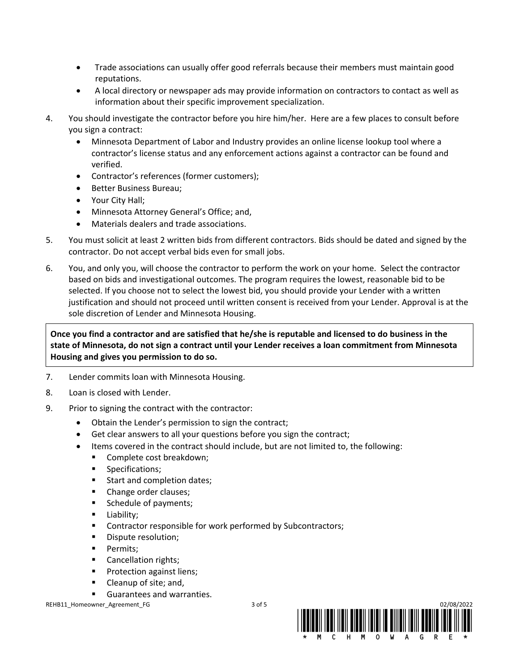- Trade associations can usually offer good referrals because their members must maintain good reputations.
- A local directory or newspaper ads may provide information on contractors to contact as well as information about their specific improvement specialization.
- 4. You should investigate the contractor before you hire him/her. Here are a few places to consult before you sign a contract:
	- Minnesota Department of Labor and Industry provides an online license lookup tool where a contractor's license status and any enforcement actions against a contractor can be found and verified.
	- Contractor's references (former customers);
	- Better Business Bureau;
	- Your City Hall;
	- Minnesota Attorney General's Office; and,
	- Materials dealers and trade associations.
- 5. You must solicit at least 2 written bids from different contractors. Bids should be dated and signed by the contractor. Do not accept verbal bids even for small jobs.
- 6. You, and only you, will choose the contractor to perform the work on your home. Select the contractor based on bids and investigational outcomes. The program requires the lowest, reasonable bid to be selected. If you choose not to select the lowest bid, you should provide your Lender with a written justification and should not proceed until written consent is received from your Lender. Approval is at the sole discretion of Lender and Minnesota Housing.

**Once you find a contractor and are satisfied that he/she is reputable and licensed to do business in the state of Minnesota, do not sign a contract until your Lender receives a loan commitment from Minnesota Housing and gives you permission to do so.**

- 7. Lender commits loan with Minnesota Housing.
- 8. Loan is closed with Lender.
- 9. Prior to signing the contract with the contractor:
	- Obtain the Lender's permission to sign the contract;
	- Get clear answers to all your questions before you sign the contract;
	- Items covered in the contract should include, but are not limited to, the following:
		- Complete cost breakdown;
		- Specifications;
		- Start and completion dates;
		- Change order clauses;
		- Schedule of payments;
		- Liability;
		- Contractor responsible for work performed by Subcontractors;
		- Dispute resolution;
		- **•** Permits:
		- Cancellation rights;
		- Protection against liens;
		- Cleanup of site; and,
		- Guarantees and warranties.

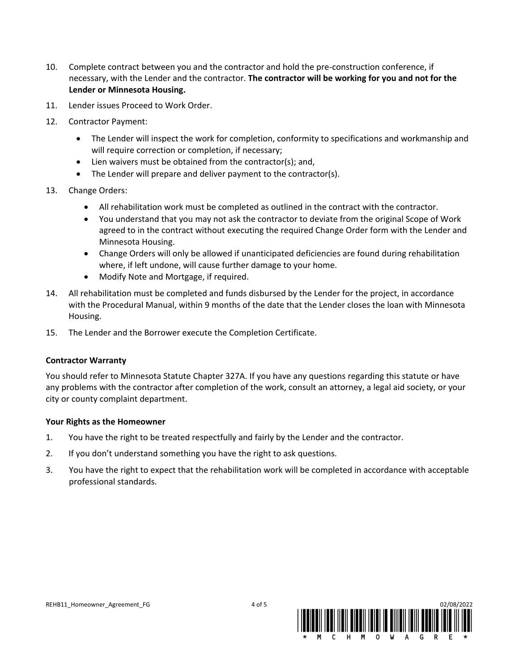- 10. Complete contract between you and the contractor and hold the pre-construction conference, if necessary, with the Lender and the contractor. **The contractor will be working for you and not for the Lender or Minnesota Housing.**
- 11. Lender issues Proceed to Work Order.
- 12. Contractor Payment:
	- The Lender will inspect the work for completion, conformity to specifications and workmanship and will require correction or completion, if necessary;
	- Lien waivers must be obtained from the contractor(s); and,
	- The Lender will prepare and deliver payment to the contractor(s).
- 13. Change Orders:
	- All rehabilitation work must be completed as outlined in the contract with the contractor.
	- You understand that you may not ask the contractor to deviate from the original Scope of Work agreed to in the contract without executing the required Change Order form with the Lender and Minnesota Housing.
	- Change Orders will only be allowed if unanticipated deficiencies are found during rehabilitation where, if left undone, will cause further damage to your home.
	- Modify Note and Mortgage, if required.
- 14. All rehabilitation must be completed and funds disbursed by the Lender for the project, in accordance with the Procedural Manual, within 9 months of the date that the Lender closes the loan with Minnesota Housing.
- 15. The Lender and the Borrower execute the Completion Certificate.

### **Contractor Warranty**

You should refer to Minnesota Statute Chapter 327A. If you have any questions regarding this statute or have any problems with the contractor after completion of the work, consult an attorney, a legal aid society, or your city or county complaint department.

### **Your Rights as the Homeowner**

- 1. You have the right to be treated respectfully and fairly by the Lender and the contractor.
- 2. If you don't understand something you have the right to ask questions.
- 3. You have the right to expect that the rehabilitation work will be completed in accordance with acceptable professional standards.